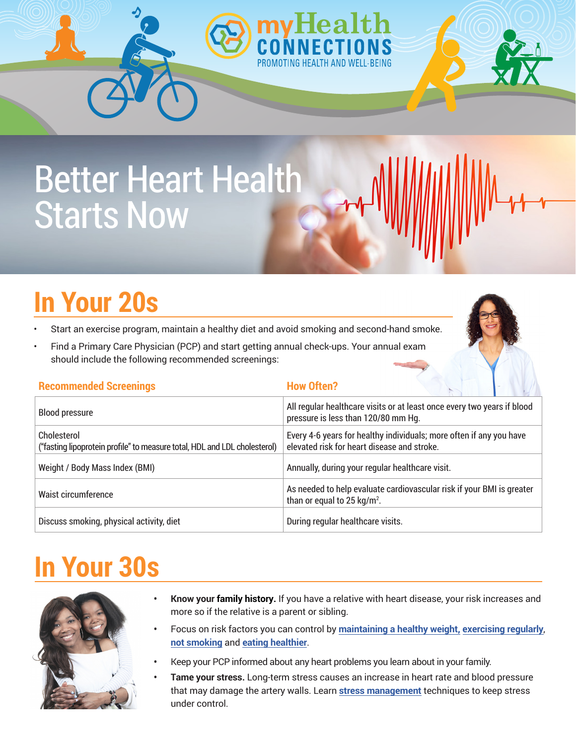# Better Heart Health Starts Now

# **In Your 20s**

- Start an exercise program, maintain a healthy diet and avoid smoking and second-hand smoke.
- Find a Primary Care Physician (PCP) and start getting annual check-ups. Your annual exam should include the following recommended screenings:

| <b>Recommended Screeniz</b> |  |
|-----------------------------|--|
|                             |  |

#### **How Often?**

| <b>Blood pressure</b>                                                                    | All regular healthcare visits or at least once every two years if blood<br>pressure is less than 120/80 mm Hg.     |  |
|------------------------------------------------------------------------------------------|--------------------------------------------------------------------------------------------------------------------|--|
| Cholesterol<br>("fasting lipoprotein profile" to measure total, HDL and LDL cholesterol) | Every 4-6 years for healthy individuals; more often if any you have<br>elevated risk for heart disease and stroke. |  |
| Weight / Body Mass Index (BMI)                                                           | Annually, during your regular healthcare visit.                                                                    |  |
| Waist circumference                                                                      | As needed to help evaluate cardiovascular risk if your BMI is greater<br>than or equal to 25 kg/m <sup>2</sup> .   |  |
| Discuss smoking, physical activity, diet                                                 | During regular healthcare visits.                                                                                  |  |

#### **In Your 30s**



- **Know your family history.** If you have a relative with heart disease, your risk increases and more so if the relative is a parent or sibling.
- **•** Focus on risk factors you can control by **[maintaining a healthy weight,](https://www.heart.org/en/healthy-living/healthy-eating/losing-weight) [exercising regularly](https://www.heart.org/en/healthy-living/fitness)**, **[not smoking](https://www.heart.org/en/healthy-living/healthy-lifestyle/quit-smoking-tobacco)** and **[eating healthier](https://www.heart.org/en/healthy-living/healthy-eating)**.
- **•** Keep your PCP informed about any heart problems you learn about in your family.
- **Tame your stress.** Long-term stress causes an increase in heart rate and blood pressure that may damage the artery walls. Learn **[stress management](https://www.heart.org/en/healthy-living/healthy-lifestyle/stress-management/fight-stress-with-healthy-habits-infographic)** techniques to keep stress under control.